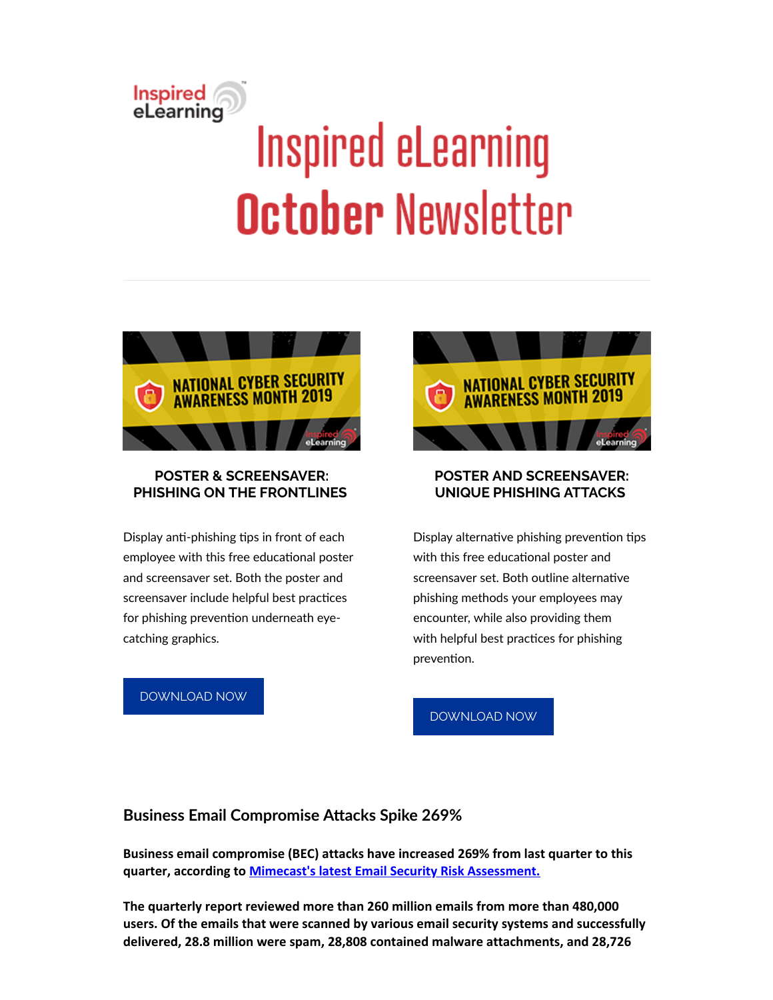# **Inspired**<br>eLearning **Inspired eLearning October Newsletter**



#### **POSTER & SCREENSAVER: PHISHING ON THE FRONTLINES**

Display anti-phishing tips in front of each employee with this free educational poster and screensaver set. Both the poster and screensaver include helpful best practices for phishing prevention underneath eyecatching graphics.

#### [DOWNLOAD](https://inspiredelearning.com/resource/poster-screensaver-phishing-on-the-frontlines/?utm_source=Marketo&utm_medium=Newsletter) NOW



### **POSTER AND SCREENSAVER: UNIQUE PHISHING ATTACKS**

Display alternative phishing prevention tips with this free educational poster and screensaver set. Both outline alternative phishing methods your employees may encounter, while also providing them with helpful best practices for phishing prevention.

#### [DOWNLOAD](https://inspiredelearning.com/resource/poster-screensaver-unique-phishing-attacks/?utm_source=Marketo&utm_medium=Newsletter) NOW

# **Business Email Compromise Attacks Spike 269%**

**Business email compromise (BEC) attacks have increased 269% from last quarter to this quarter, according to [Mimecast's latest Email Security Risk Assessment.](https://www.mimecast.com/resources/press-releases/dates/2019/10/october-esra/)**

**The quarterly report reviewed more than 260 million emails from more than 480,000 users. Of the emails that were scanned by various email security systems and successfully delivered, 28.8 million were spam, 28,808 contained malware attachments, and 28,726**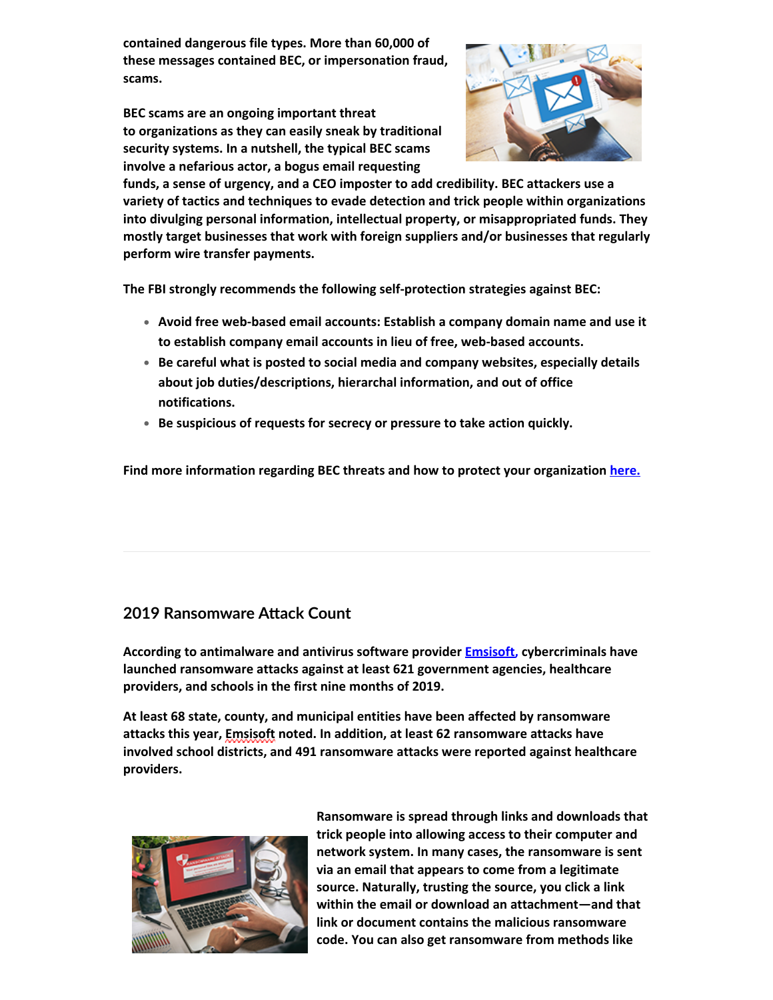**contained dangerous file types. More than 60,000 of these messages contained BEC, or impersonation fraud, scams.**

**BEC scams are an ongoing important threat to organizations as they can easily sneak by traditional security systems. In a nutshell, the typical BEC scams involve a nefarious actor, a bogus email requesting**



**funds, a sense of urgency, and a CEO imposter to add credibility. BEC attackers use a variety of tactics and techniques to evade detection and trick people within organizations into divulging personal information, intellectual property, or misappropriated funds. They mostly target businesses that work with foreign suppliers and/or businesses that regularly perform wire transfer payments.**

**The FBI strongly recommends the following self-protection strategies against BEC:**

- **Avoid free web-based email accounts: Establish a company domain name and use it to establish company email accounts in lieu of free, web-based accounts.**
- **Be careful what is posted to social media and company websites, especially details about job duties/descriptions, hierarchal information, and out of office notifications.**
- **Be suspicious of requests for secrecy or pressure to take action quickly.**

**Find more information regarding BEC threats and how to protect your organization [here.](https://inspiredelearning.com/blog/business-email-compromise-bec/?utm_source=Marketo&utm_medium=Newsletter)**

# **2019 Ransomware Attack Count**

**According to antimalware and antivirus software provider Emsisoft, cybercriminals have launched ransomware attacks against at least 621 government agencies, healthcare providers, and schools in the first nine months of 2019.**

**At least 68 state, county, and municipal entities have been affected by ransomware attacks this year, Emsisoft noted. In addition, at least 62 ransomware attacks have involved school districts, and 491 ransomware attacks were reported against healthcare providers.**



**Ransomware is spread through links and downloads that trick people into allowing access to their computer and network system. In many cases, the ransomware is sent via an email that appears to come from a legitimate source. Naturally, trusting the source, you click a link within the email or download an attachment—and that link or document contains the malicious ransomware code. You can also get ransomware from methods like**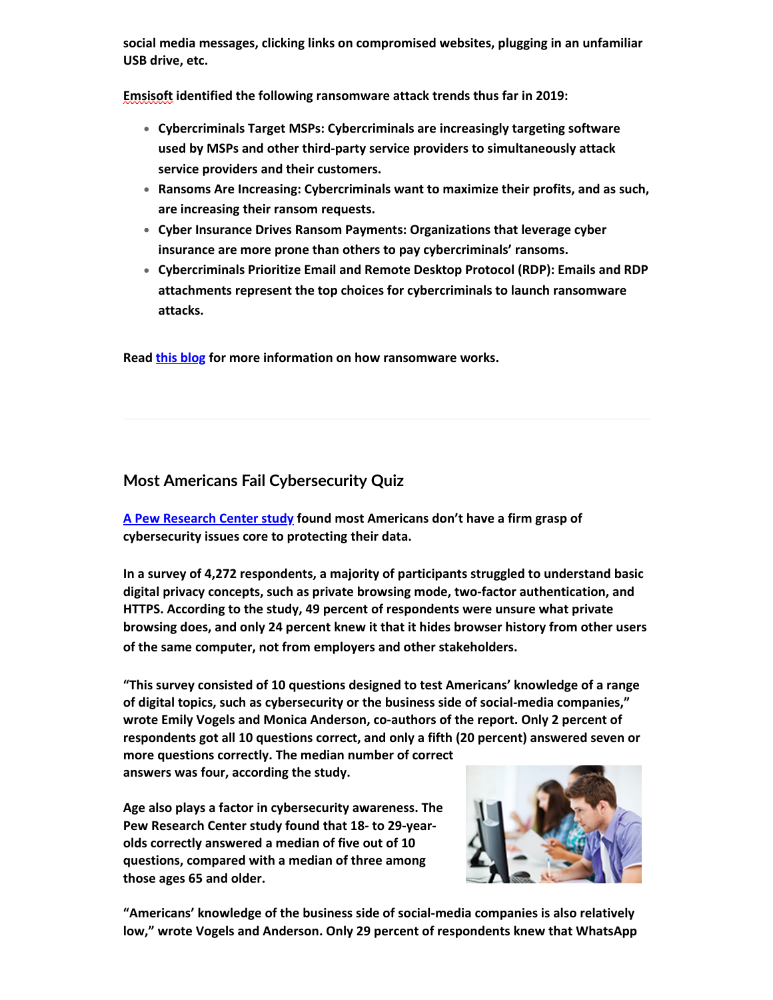**social media messages, clicking links on compromised websites, plugging in an unfamiliar USB drive, etc.**

**Emsisoft identified the following ransomware attack trends thus far in 2019:**

- **Cybercriminals Target MSPs: Cybercriminals are increasingly targeting software used by MSPs and other third-party service providers to simultaneously attack service providers and their customers.**
- **Ransoms Are Increasing: Cybercriminals want to maximize their profits, and as such, are increasing their ransom requests.**
- **Cyber Insurance Drives Ransom Payments: Organizations that leverage cyber insurance are more prone than others to pay cybercriminals' ransoms.**
- **Cybercriminals Prioritize Email and Remote Desktop Protocol (RDP): Emails and RDP attachments represent the top choices for cybercriminals to launch ransomware attacks.**

**Read [this blog](https://inspiredelearning.com/blog/how-ransomware-works/?utm_source=Marketo&utm_medium=Newsletter) for more information on how ransomware works.**

# **Most Americans Fail Cybersecurity Quiz**

**[A Pew Research Center study](https://www.pewinternet.org/2019/10/09/americans-and-digital-knowledge/pi_2019-10-19_digital-knowledge_0-01/) found most Americans don't have a firm grasp of cybersecurity issues core to protecting their data.**

**In a survey of 4,272 respondents, a majority of participants struggled to understand basic digital privacy concepts, such as private browsing mode, two-factor authentication, and HTTPS. According to the study, 49 percent of respondents were unsure what private browsing does, and only 24 percent knew it that it hides browser history from other users of the same computer, not from employers and other stakeholders.**

**"This survey consisted of 10 questions designed to test Americans' knowledge of a range of digital topics, such as cybersecurity or the business side of social-media companies," wrote Emily Vogels and Monica Anderson, co-authors of the report. Only 2 percent of respondents got all 10 questions correct, and only a fifth (20 percent) answered seven or**

**more questions correctly. The median number of correct answers was four, according the study.**

**Age also plays a factor in cybersecurity awareness. The Pew Research Center study found that 18- to 29-yearolds correctly answered a median of five out of 10 questions, compared with a median of three among those ages 65 and older.**



**"Americans' knowledge of the business side of social-media companies is also relatively low," wrote Vogels and Anderson. Only 29 percent of respondents knew that WhatsApp**